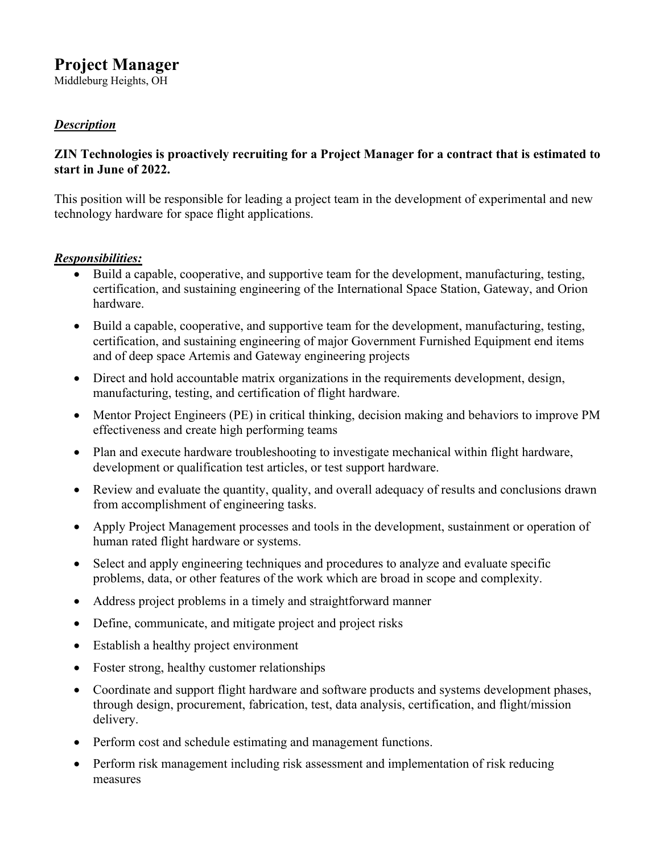# **Project Manager**

Middleburg Heights, OH

# *Description*

#### **ZIN Technologies is proactively recruiting for a Project Manager for a contract that is estimated to start in June of 2022.**

This position will be responsible for leading a project team in the development of experimental and new technology hardware for space flight applications.

#### *Responsibilities:*

- Build a capable, cooperative, and supportive team for the development, manufacturing, testing, certification, and sustaining engineering of the International Space Station, Gateway, and Orion hardware.
- Build a capable, cooperative, and supportive team for the development, manufacturing, testing, certification, and sustaining engineering of major Government Furnished Equipment end items and of deep space Artemis and Gateway engineering projects
- Direct and hold accountable matrix organizations in the requirements development, design, manufacturing, testing, and certification of flight hardware.
- Mentor Project Engineers (PE) in critical thinking, decision making and behaviors to improve PM effectiveness and create high performing teams
- Plan and execute hardware troubleshooting to investigate mechanical within flight hardware, development or qualification test articles, or test support hardware.
- Review and evaluate the quantity, quality, and overall adequacy of results and conclusions drawn from accomplishment of engineering tasks.
- Apply Project Management processes and tools in the development, sustainment or operation of human rated flight hardware or systems.
- Select and apply engineering techniques and procedures to analyze and evaluate specific problems, data, or other features of the work which are broad in scope and complexity.
- Address project problems in a timely and straightforward manner
- Define, communicate, and mitigate project and project risks
- Establish a healthy project environment
- Foster strong, healthy customer relationships
- Coordinate and support flight hardware and software products and systems development phases, through design, procurement, fabrication, test, data analysis, certification, and flight/mission delivery.
- Perform cost and schedule estimating and management functions.
- Perform risk management including risk assessment and implementation of risk reducing measures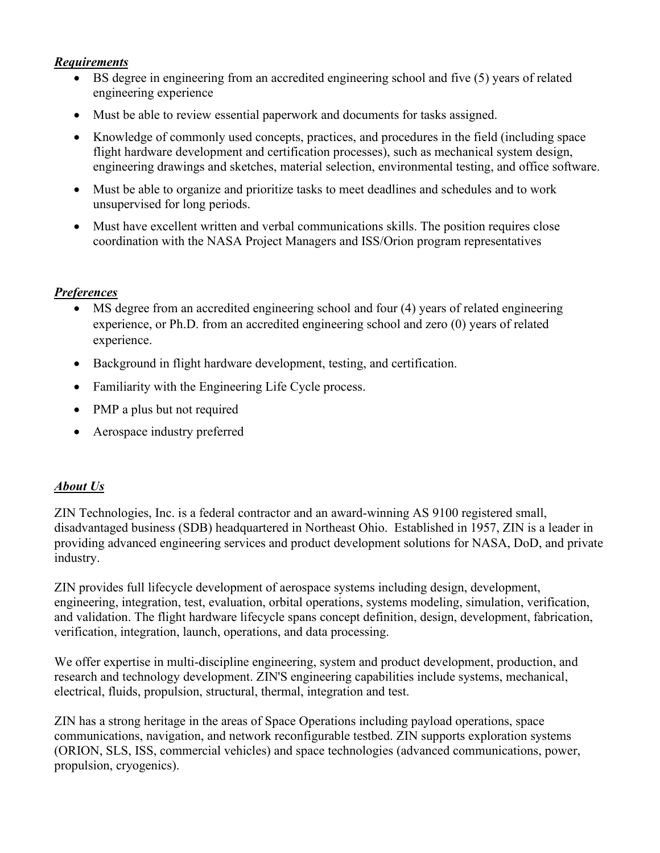#### *Requirements*

- BS degree in engineering from an accredited engineering school and five (5) years of related engineering experience
- Must be able to review essential paperwork and documents for tasks assigned.
- Knowledge of commonly used concepts, practices, and procedures in the field (including space flight hardware development and certification processes), such as mechanical system design, engineering drawings and sketches, material selection, environmental testing, and office software.
- Must be able to organize and prioritize tasks to meet deadlines and schedules and to work unsupervised for long periods.
- Must have excellent written and verbal communications skills. The position requires close coordination with the NASA Project Managers and ISS/Orion program representatives

## *Preferences*

- MS degree from an accredited engineering school and four (4) years of related engineering experience, or Ph.D. from an accredited engineering school and zero (0) years of related experience.
- Background in flight hardware development, testing, and certification.
- Familiarity with the Engineering Life Cycle process.
- PMP a plus but not required
- Aerospace industry preferred

## *About Us*

ZIN Technologies, Inc. is a federal contractor and an award-winning AS 9100 registered small, disadvantaged business (SDB) headquartered in Northeast Ohio. Established in 1957, ZIN is a leader in providing advanced engineering services and product development solutions for NASA, DoD, and private industry.

ZIN provides full lifecycle development of aerospace systems including design, development, engineering, integration, test, evaluation, orbital operations, systems modeling, simulation, verification, and validation. The flight hardware lifecycle spans concept definition, design, development, fabrication, verification, integration, launch, operations, and data processing.

We offer expertise in multi-discipline engineering, system and product development, production, and research and technology development. ZIN'S engineering capabilities include systems, mechanical, electrical, fluids, propulsion, structural, thermal, integration and test.

ZIN has a strong heritage in the areas of Space Operations including payload operations, space communications, navigation, and network reconfigurable testbed. ZIN supports exploration systems (ORION, SLS, ISS, commercial vehicles) and space technologies (advanced communications, power, propulsion, cryogenics).